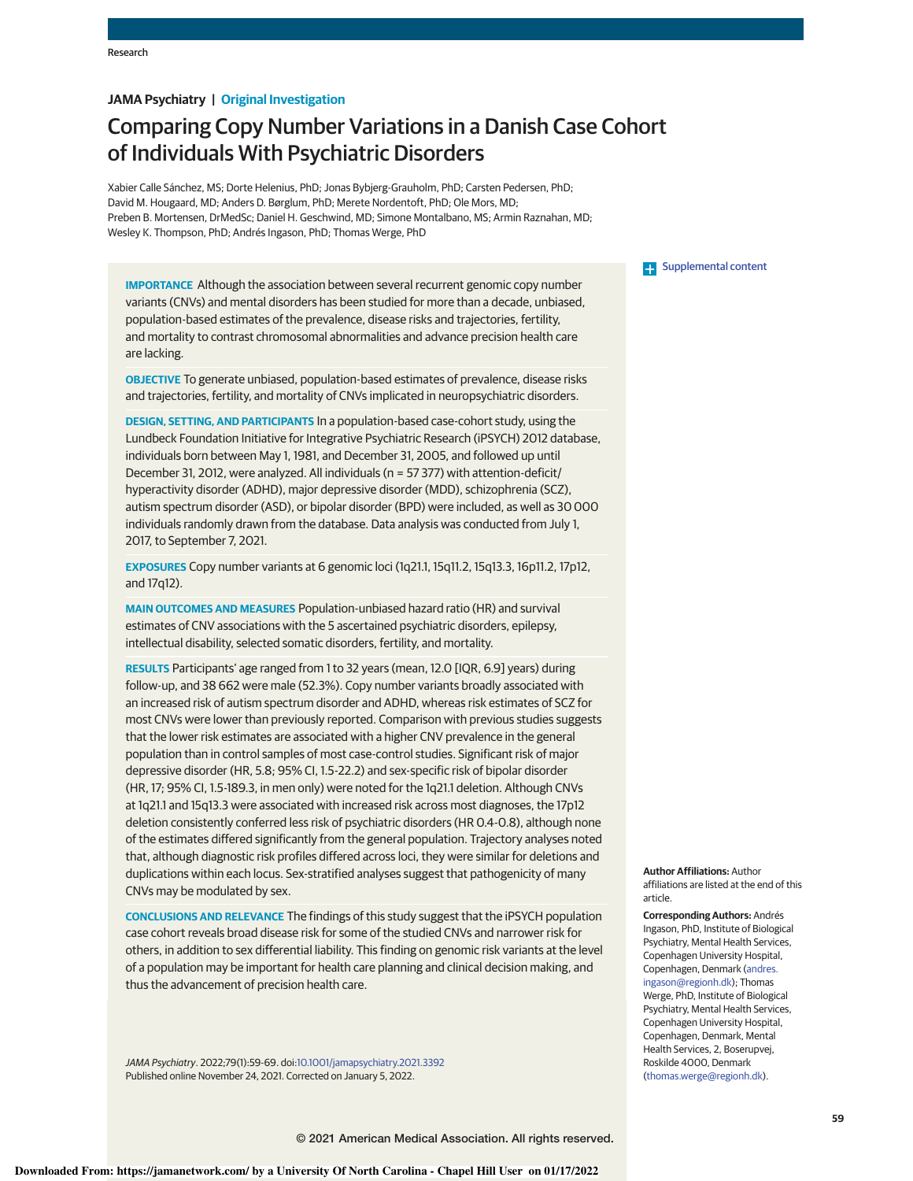# **JAMA Psychiatry | Original Investigation**

# Comparing Copy Number Variations in a Danish Case Cohort of Individuals With Psychiatric Disorders

Xabier Calle Sánchez, MS; Dorte Helenius, PhD; Jonas Bybjerg-Grauholm, PhD; Carsten Pedersen, PhD; David M. Hougaard, MD; Anders D. Børglum, PhD; Merete Nordentoft, PhD; Ole Mors, MD; Preben B. Mortensen, DrMedSc; Daniel H. Geschwind, MD; Simone Montalbano, MS; Armin Raznahan, MD; Wesley K. Thompson, PhD; Andrés Ingason, PhD; Thomas Werge, PhD

**IMPORTANCE** Although the association between several recurrent genomic copy number variants (CNVs) and mental disorders has been studied for more than a decade, unbiased, population-based estimates of the prevalence, disease risks and trajectories, fertility, and mortality to contrast chromosomal abnormalities and advance precision health care are lacking.

**OBJECTIVE** To generate unbiased, population-based estimates of prevalence, disease risks and trajectories, fertility, and mortality of CNVs implicated in neuropsychiatric disorders.

**DESIGN, SETTING, AND PARTICIPANTS** In a population-based case-cohort study, using the Lundbeck Foundation Initiative for Integrative Psychiatric Research (iPSYCH) 2012 database, individuals born between May 1, 1981, and December 31, 2005, and followed up until December 31, 2012, were analyzed. All individuals (n = 57 377) with attention-deficit/ hyperactivity disorder (ADHD), major depressive disorder (MDD), schizophrenia (SCZ), autism spectrum disorder (ASD), or bipolar disorder (BPD) were included, as well as 30 000 individuals randomly drawn from the database. Data analysis was conducted from July 1, 2017, to September 7, 2021.

**EXPOSURES** Copy number variants at 6 genomic loci (1q21.1, 15q11.2, 15q13.3, 16p11.2, 17p12, and 17q12).

**MAIN OUTCOMES AND MEASURES** Population-unbiased hazard ratio (HR) and survival estimates of CNV associations with the 5 ascertained psychiatric disorders, epilepsy, intellectual disability, selected somatic disorders, fertility, and mortality.

**RESULTS** Participants' age ranged from 1 to 32 years (mean, 12.0 [IQR, 6.9] years) during follow-up, and 38 662 were male (52.3%). Copy number variants broadly associated with an increased risk of autism spectrum disorder and ADHD, whereas risk estimates of SCZ for most CNVs were lower than previously reported. Comparison with previous studies suggests that the lower risk estimates are associated with a higher CNV prevalence in the general population than in control samples of most case-control studies. Significant risk of major depressive disorder (HR, 5.8; 95% CI, 1.5-22.2) and sex-specific risk of bipolar disorder (HR, 17; 95% CI, 1.5-189.3, in men only) were noted for the 1q21.1 deletion. Although CNVs at 1q21.1 and 15q13.3 were associated with increased risk across most diagnoses, the 17p12 deletion consistently conferred less risk of psychiatric disorders (HR 0.4-0.8), although none of the estimates differed significantly from the general population. Trajectory analyses noted that, although diagnostic risk profiles differed across loci, they were similar for deletions and duplications within each locus. Sex-stratified analyses suggest that pathogenicity of many CNVs may be modulated by sex.

**CONCLUSIONS AND RELEVANCE** The findings of this study suggest that the iPSYCH population case cohort reveals broad disease risk for some of the studied CNVs and narrower risk for others, in addition to sex differential liability. This finding on genomic risk variants at the level of a population may be important for health care planning and clinical decision making, and thus the advancement of precision health care.

JAMA Psychiatry. 2022;79(1):59-69. doi:10.1001/jamapsychiatry.2021.3392 Published online November 24, 2021. Corrected on January 5, 2022.

### **Examplemental content**

**Author Affiliations:** Author affiliations are listed at the end of this article.

**Corresponding Authors:** Andrés Ingason, PhD, Institute of Biological Psychiatry, Mental Health Services, Copenhagen University Hospital, Copenhagen, Denmark (andres. ingason@regionh.dk); Thomas Werge, PhD, Institute of Biological Psychiatry, Mental Health Services, Copenhagen University Hospital, Copenhagen, Denmark, Mental Health Services, 2, Boserupvej, Roskilde 4000, Denmark (thomas.werge@regionh.dk).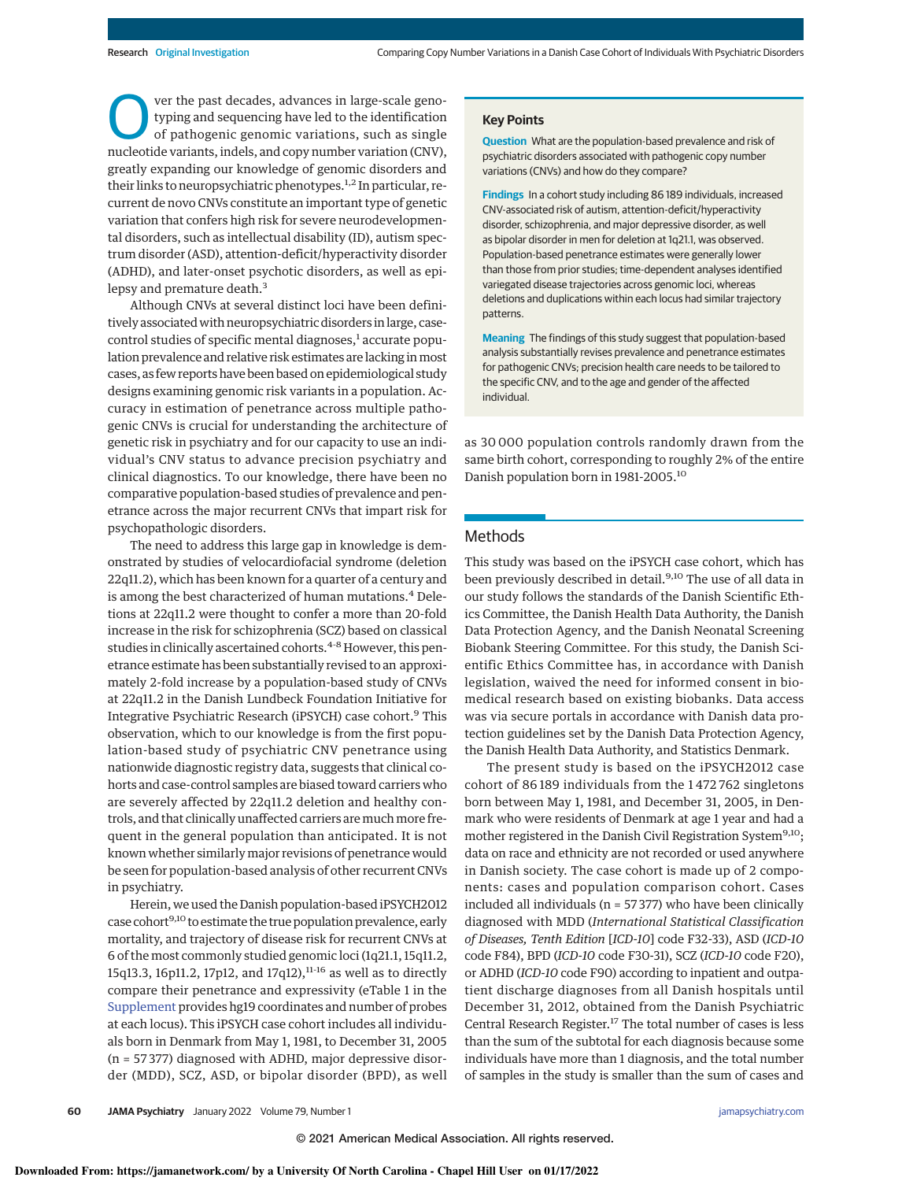**OM** ver the past decades, advances in large-scale geno-<br>typing and sequencing have led to the identification<br>of pathogenic genomic variations, such as single<br>nucleotide variants, indels, and copy number variation (CNV), ver the past decades, advances in large-scale genotyping and sequencing have led to the identification of pathogenic genomic variations, such as single greatly expanding our knowledge of genomic disorders and their links to neuropsychiatric phenotypes.<sup>1,2</sup> In particular, recurrent de novo CNVs constitute an important type of genetic variation that confers high risk for severe neurodevelopmental disorders, such as intellectual disability (ID), autism spectrum disorder (ASD), attention-deficit/hyperactivity disorder (ADHD), and later-onset psychotic disorders, as well as epilepsy and premature death.<sup>3</sup>

Although CNVs at several distinct loci have been definitively associated with neuropsychiatric disorders in large, casecontrol studies of specific mental diagnoses,<sup>1</sup> accurate population prevalence and relative risk estimates are lacking inmost cases, as few reports have been based on epidemiological study designs examining genomic risk variants in a population. Accuracy in estimation of penetrance across multiple pathogenic CNVs is crucial for understanding the architecture of genetic risk in psychiatry and for our capacity to use an individual's CNV status to advance precision psychiatry and clinical diagnostics. To our knowledge, there have been no comparative population-based studies of prevalence and penetrance across the major recurrent CNVs that impart risk for psychopathologic disorders.

The need to address this large gap in knowledge is demonstrated by studies of velocardiofacial syndrome (deletion 22q11.2), which has been known for a quarter of a century and is among the best characterized of human mutations.<sup>4</sup> Deletions at 22q11.2 were thought to confer a more than 20-fold increase in the risk for schizophrenia (SCZ) based on classical studies in clinically ascertained cohorts.<sup>4-8</sup> However, this penetrance estimate has been substantially revised to an approximately 2-fold increase by a population-based study of CNVs at 22q11.2 in the Danish Lundbeck Foundation Initiative for Integrative Psychiatric Research (iPSYCH) case cohort.<sup>9</sup> This observation, which to our knowledge is from the first population-based study of psychiatric CNV penetrance using nationwide diagnostic registry data, suggests that clinical cohorts and case-control samples are biased toward carriers who are severely affected by 22q11.2 deletion and healthy controls, and that clinically unaffected carriers are much more frequent in the general population than anticipated. It is not known whether similarlymajor revisions of penetrance would be seen for population-based analysis of other recurrent CNVs in psychiatry.

Herein, we used the Danish population-based iPSYCH2012 case cohort<sup>9,10</sup> to estimate the true population prevalence, early mortality, and trajectory of disease risk for recurrent CNVs at 6 of the most commonly studied genomic loci (1q21.1, 15q11.2, 15q13.3, 16p11.2, 17p12, and 17q12), $^{11\text{-}16}$  as well as to directly compare their penetrance and expressivity (eTable 1 in the Supplement provides hg19 coordinates and number of probes at each locus). This iPSYCH case cohort includes all individuals born in Denmark from May 1, 1981, to December 31, 2005 (n = 57 377) diagnosed with ADHD, major depressive disorder (MDD), SCZ, ASD, or bipolar disorder (BPD), as well

### **Key Points**

**Question** What are the population-based prevalence and risk of psychiatric disorders associated with pathogenic copy number variations (CNVs) and how do they compare?

**Findings** In a cohort study including 86 189 individuals, increased CNV-associated risk of autism, attention-deficit/hyperactivity disorder, schizophrenia, and major depressive disorder, as well as bipolar disorder in men for deletion at 1q21.1, was observed. Population-based penetrance estimates were generally lower than those from prior studies; time-dependent analyses identified variegated disease trajectories across genomic loci, whereas deletions and duplications within each locus had similar trajectory patterns.

**Meaning** The findings of this study suggest that population-based analysis substantially revises prevalence and penetrance estimates for pathogenic CNVs; precision health care needs to be tailored to the specific CNV, and to the age and gender of the affected individual.

as 30 000 population controls randomly drawn from the same birth cohort, corresponding to roughly 2% of the entire Danish population born in 1981-2005.<sup>10</sup>

## Methods

This study was based on the iPSYCH case cohort, which has been previously described in detail.<sup>9,10</sup> The use of all data in our study follows the standards of the Danish Scientific Ethics Committee, the Danish Health Data Authority, the Danish Data Protection Agency, and the Danish Neonatal Screening Biobank Steering Committee. For this study, the Danish Scientific Ethics Committee has, in accordance with Danish legislation, waived the need for informed consent in biomedical research based on existing biobanks. Data access was via secure portals in accordance with Danish data protection guidelines set by the Danish Data Protection Agency, the Danish Health Data Authority, and Statistics Denmark.

The present study is based on the iPSYCH2012 case cohort of 86 189 individuals from the 1 472 762 singletons born between May 1, 1981, and December 31, 2005, in Denmark who were residents of Denmark at age 1 year and had a mother registered in the Danish Civil Registration System<sup>9,10</sup>; data on race and ethnicity are not recorded or used anywhere in Danish society. The case cohort is made up of 2 components: cases and population comparison cohort. Cases included all individuals ( $n = 57377$ ) who have been clinically diagnosed with MDD (International Statistical Classification of Diseases, Tenth Edition [ICD-10] code F32-33), ASD (ICD-10 code F84), BPD (ICD-10 code F30-31), SCZ (ICD-10 code F20), or ADHD (ICD-10 code F90) according to inpatient and outpatient discharge diagnoses from all Danish hospitals until December 31, 2012, obtained from the Danish Psychiatric Central Research Register.<sup>17</sup> The total number of cases is less than the sum of the subtotal for each diagnosis because some individuals have more than 1 diagnosis, and the total number of samples in the study is smaller than the sum of cases and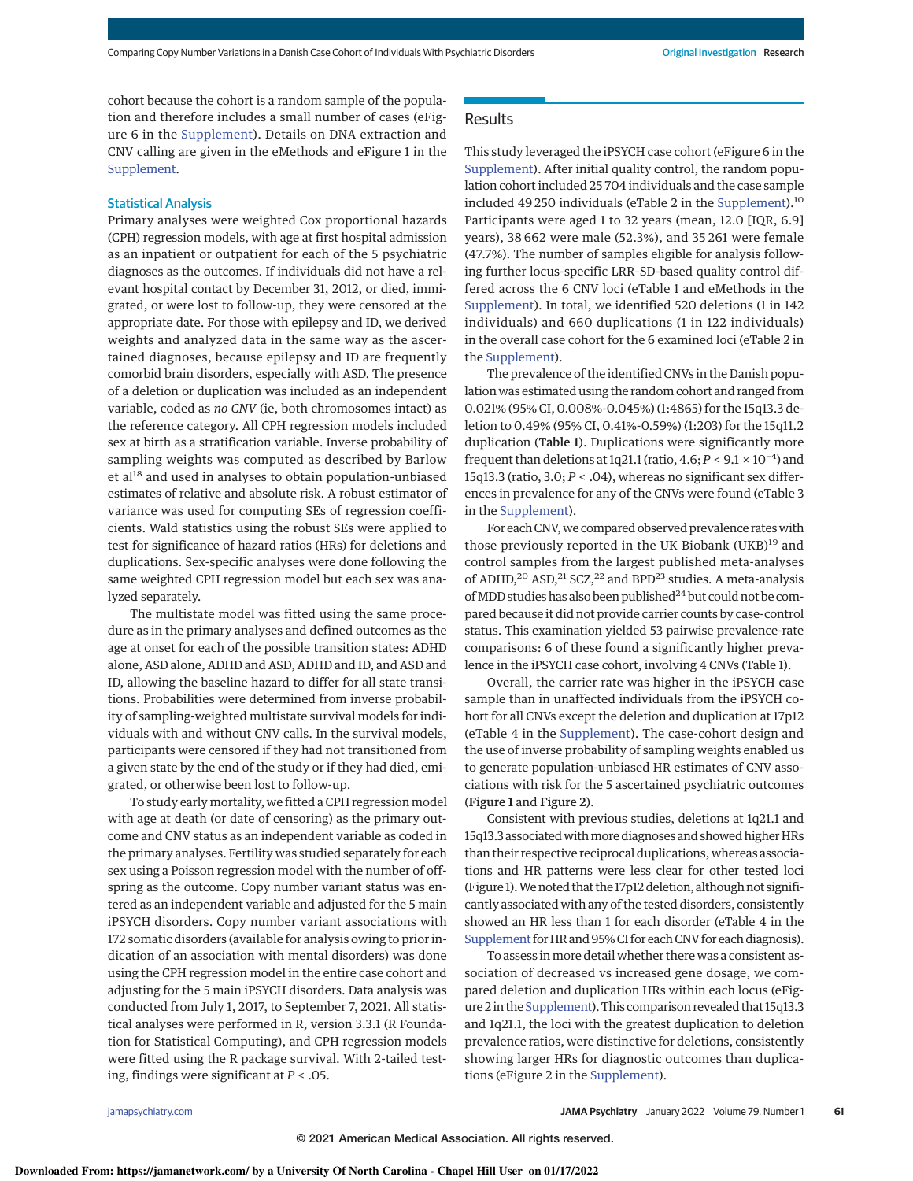cohort because the cohort is a random sample of the population and therefore includes a small number of cases (eFigure 6 in the Supplement). Details on DNA extraction and CNV calling are given in the eMethods and eFigure 1 in the Supplement.

# Statistical Analysis

Primary analyses were weighted Cox proportional hazards (CPH) regression models, with age at first hospital admission as an inpatient or outpatient for each of the 5 psychiatric diagnoses as the outcomes. If individuals did not have a relevant hospital contact by December 31, 2012, or died, immigrated, or were lost to follow-up, they were censored at the appropriate date. For those with epilepsy and ID, we derived weights and analyzed data in the same way as the ascertained diagnoses, because epilepsy and ID are frequently comorbid brain disorders, especially with ASD. The presence of a deletion or duplication was included as an independent variable, coded as no CNV (ie, both chromosomes intact) as the reference category. All CPH regression models included sex at birth as a stratification variable. Inverse probability of sampling weights was computed as described by Barlow et al<sup>18</sup> and used in analyses to obtain population-unbiased estimates of relative and absolute risk. A robust estimator of variance was used for computing SEs of regression coefficients. Wald statistics using the robust SEs were applied to test for significance of hazard ratios (HRs) for deletions and duplications. Sex-specific analyses were done following the same weighted CPH regression model but each sex was analyzed separately.

The multistate model was fitted using the same procedure as in the primary analyses and defined outcomes as the age at onset for each of the possible transition states: ADHD alone, ASD alone, ADHD and ASD, ADHD and ID, and ASD and ID, allowing the baseline hazard to differ for all state transitions. Probabilities were determined from inverse probability of sampling-weighted multistate survival models for individuals with and without CNV calls. In the survival models, participants were censored if they had not transitioned from a given state by the end of the study or if they had died, emigrated, or otherwise been lost to follow-up.

To study early mortality, we fitted a CPH regression model with age at death (or date of censoring) as the primary outcome and CNV status as an independent variable as coded in the primary analyses. Fertility was studied separately for each sex using a Poisson regression model with the number of offspring as the outcome. Copy number variant status was entered as an independent variable and adjusted for the 5 main iPSYCH disorders. Copy number variant associations with 172 somatic disorders (available for analysis owing to prior indication of an association with mental disorders) was done using the CPH regression model in the entire case cohort and adjusting for the 5 main iPSYCH disorders. Data analysis was conducted from July 1, 2017, to September 7, 2021. All statistical analyses were performed in R, version 3.3.1 (R Foundation for Statistical Computing), and CPH regression models were fitted using the R package survival. With 2-tailed testing, findings were significant at  $P < .05$ .

# Results

This study leveraged the iPSYCH case cohort (eFigure 6 in the Supplement). After initial quality control, the random population cohort included 25 704 individuals and the case sample included 49 250 individuals (eTable 2 in the Supplement).<sup>10</sup> Participants were aged 1 to 32 years (mean, 12.0 [IQR, 6.9] years), 38 662 were male (52.3%), and 35 261 were female (47.7%). The number of samples eligible for analysis following further locus-specific LRR–SD-based quality control differed across the 6 CNV loci (eTable 1 and eMethods in the Supplement). In total, we identified 520 deletions (1 in 142 individuals) and 660 duplications (1 in 122 individuals) in the overall case cohort for the 6 examined loci (eTable 2 in the Supplement).

The prevalence of the identified CNVs in the Danish population was estimated using the random cohort and ranged from 0.021% (95% CI, 0.008%-0.045%) (1:4865) for the 15q13.3 deletion to 0.49% (95% CI, 0.41%-0.59%) (1:203) for the 15q11.2 duplication (Table 1). Duplications were significantly more frequent than deletions at 1q21.1 (ratio,  $4.6; P < 9.1 \times 10^{-4}$ ) and 15q13.3 (ratio,  $3.0; P < .04$ ), whereas no significant sex differences in prevalence for any of the CNVs were found (eTable 3 in the Supplement).

For each CNV, we compared observed prevalence rates with those previously reported in the UK Biobank (UKB)<sup>19</sup> and control samples from the largest published meta-analyses of ADHD,<sup>20</sup> ASD,<sup>21</sup> SCZ,<sup>22</sup> and BPD<sup>23</sup> studies. A meta-analysis of MDD studies has also been published<sup>24</sup> but could not be compared because it did not provide carrier counts by case-control status. This examination yielded 53 pairwise prevalence-rate comparisons: 6 of these found a significantly higher prevalence in the iPSYCH case cohort, involving 4 CNVs (Table 1).

Overall, the carrier rate was higher in the iPSYCH case sample than in unaffected individuals from the iPSYCH cohort for all CNVs except the deletion and duplication at 17p12 (eTable 4 in the Supplement). The case-cohort design and the use of inverse probability of sampling weights enabled us to generate population-unbiased HR estimates of CNV associations with risk for the 5 ascertained psychiatric outcomes (Figure 1 and Figure 2).

Consistent with previous studies, deletions at 1q21.1 and 15q13.3 associated with more diagnoses and showed higher HRs than their respective reciprocal duplications, whereas associations and HR patterns were less clear for other tested loci (Figure 1).We noted that the 17p12 deletion, although not significantly associated with any of the tested disorders, consistently showed an HR less than 1 for each disorder (eTable 4 in the Supplement for HR and 95% CI for each CNV for each diagnosis).

To assess inmore detail whether there was a consistent association of decreased vs increased gene dosage, we compared deletion and duplication HRs within each locus (eFigure 2 in the Supplement). This comparison revealed that 15q13.3 and 1q21.1, the loci with the greatest duplication to deletion prevalence ratios, were distinctive for deletions, consistently showing larger HRs for diagnostic outcomes than duplications (eFigure 2 in the Supplement).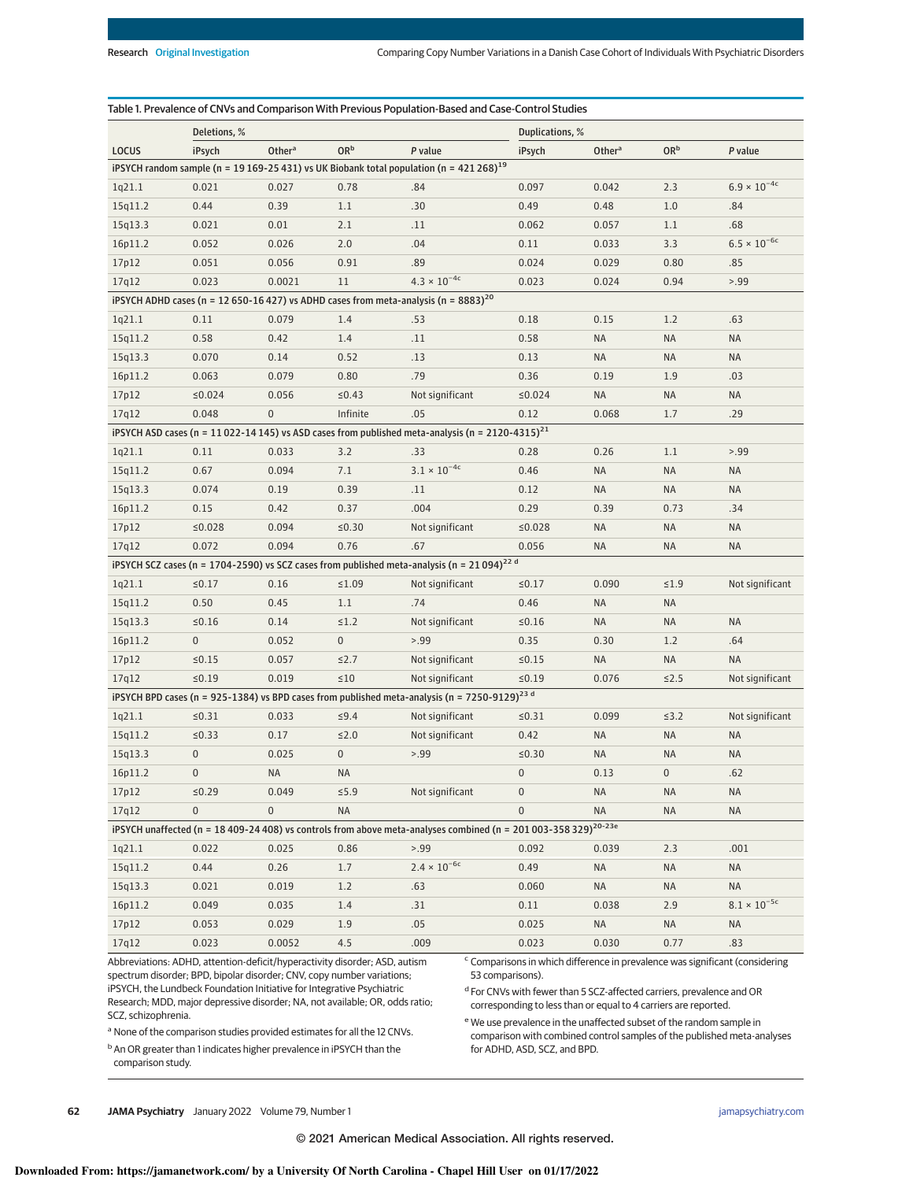|                                                                                                          | Deletions, %     |                    |                 |                                                                                                                             | Duplications, % |                    |                 |                       |
|----------------------------------------------------------------------------------------------------------|------------------|--------------------|-----------------|-----------------------------------------------------------------------------------------------------------------------------|-----------------|--------------------|-----------------|-----------------------|
| LOCUS                                                                                                    | iPsych           | Other <sup>a</sup> | OR <sup>b</sup> | P value                                                                                                                     | iPsych          | Other <sup>a</sup> | OR <sup>b</sup> | P value               |
| iPSYCH random sample ( $n = 19169-25431$ ) vs UK Biobank total population ( $n = 421268$ ) <sup>19</sup> |                  |                    |                 |                                                                                                                             |                 |                    |                 |                       |
| 1q21.1                                                                                                   | 0.021            | 0.027              | 0.78            | .84                                                                                                                         | 0.097           | 0.042              | 2.3             | $6.9 \times 10^{-4c}$ |
| 15q11.2                                                                                                  | 0.44             | 0.39               | 1.1             | .30                                                                                                                         | 0.49            | 0.48               | 1.0             | .84                   |
| 15q13.3                                                                                                  | 0.021            | 0.01               | 2.1             | .11                                                                                                                         | 0.062           | 0.057              | 1.1             | .68                   |
| 16p11.2                                                                                                  | 0.052            | 0.026              | 2.0             | .04                                                                                                                         | 0.11            | 0.033              | 3.3             | $6.5 \times 10^{-6c}$ |
| 17p12                                                                                                    | 0.051            | 0.056              | 0.91            | .89                                                                                                                         | 0.024           | 0.029              | 0.80            | .85                   |
| 17q12                                                                                                    | 0.023            | 0.0021             | 11              | $4.3 \times 10^{-4c}$                                                                                                       | 0.023           | 0.024              | 0.94            | > .99                 |
|                                                                                                          |                  |                    |                 | iPSYCH ADHD cases (n = 12 650-16 427) vs ADHD cases from meta-analysis (n = 8883) <sup>20</sup>                             |                 |                    |                 |                       |
| 1q21.1                                                                                                   | 0.11             | 0.079              | 1.4             | .53                                                                                                                         | 0.18            | 0.15               | 1.2             | .63                   |
| 15q11.2                                                                                                  | 0.58             | 0.42               | 1.4             | .11                                                                                                                         | 0.58            | NA                 | NA              | <b>NA</b>             |
| 15q13.3                                                                                                  | 0.070            | 0.14               | 0.52            | .13                                                                                                                         | 0.13            | NA                 | <b>NA</b>       | <b>NA</b>             |
| 16p11.2                                                                                                  | 0.063            | 0.079              | 0.80            | .79                                                                                                                         | 0.36            | 0.19               | 1.9             | .03                   |
| 17p12                                                                                                    | ≤0.024           | 0.056              | ≤0.43           | Not significant                                                                                                             | ≤0.024          | <b>NA</b>          | <b>NA</b>       | <b>NA</b>             |
| 17q12                                                                                                    | 0.048            | $\mathbf 0$        | Infinite        | .05                                                                                                                         | 0.12            | 0.068              | 1.7             | .29                   |
|                                                                                                          |                  |                    |                 | iPSYCH ASD cases (n = 11 022-14 145) vs ASD cases from published meta-analysis (n = 2120-4315) <sup>21</sup>                |                 |                    |                 |                       |
| 1q21.1                                                                                                   | 0.11             | 0.033              | 3.2             | .33                                                                                                                         | 0.28            | 0.26               | 1.1             | > .99                 |
| 15q11.2                                                                                                  | 0.67             | 0.094              | 7.1             | $3.1\times10^{-4c}$                                                                                                         | 0.46            | <b>NA</b>          | <b>NA</b>       | <b>NA</b>             |
| 15q13.3                                                                                                  | 0.074            | 0.19               | 0.39            | .11                                                                                                                         | 0.12            | <b>NA</b>          | <b>NA</b>       | <b>NA</b>             |
| 16p11.2                                                                                                  | 0.15             | 0.42               | 0.37            | .004                                                                                                                        | 0.29            | 0.39               | 0.73            | .34                   |
| 17p12                                                                                                    | ≤0.028           | 0.094              | ≤0.30           | Not significant                                                                                                             | ≤0.028          | NA                 | NA              | <b>NA</b>             |
| 17q12                                                                                                    | 0.072            | 0.094              | 0.76            | .67                                                                                                                         | 0.056           | NA                 | <b>NA</b>       | <b>NA</b>             |
|                                                                                                          |                  |                    |                 | iPSYCH SCZ cases (n = 1704-2590) vs SCZ cases from published meta-analysis (n = $21\,094)^{22}$ d                           |                 |                    |                 |                       |
| 1q21.1                                                                                                   | ≤0.17            | 0.16               | ≤1.09           | Not significant                                                                                                             | $\leq 0.17$     | 0.090              | $\leq 1.9$      | Not significant       |
| 15q11.2                                                                                                  | 0.50             | 0.45               | 1.1             | .74                                                                                                                         | 0.46            | <b>NA</b>          | <b>NA</b>       |                       |
| 15q13.3                                                                                                  | $≤0.16$          | 0.14               | $\leq 1.2$      | Not significant                                                                                                             | ≤0.16           | NA                 | <b>NA</b>       | <b>NA</b>             |
| 16p11.2                                                                                                  | $\mathbf 0$      | 0.052              | $\mathbf 0$     | > 0.99                                                                                                                      | 0.35            | 0.30               | 1.2             | .64                   |
| 17p12                                                                                                    | $\le 0.15$       | 0.057              | $\leq$ 2.7      | Not significant                                                                                                             | ≤0.15           | NA                 | NA              | <b>NA</b>             |
| 17q12                                                                                                    | $\leq 0.19$      | 0.019              | $\leq 10$       | Not significant                                                                                                             | ≤0.19           | 0.076              | $\leq$ 2.5      | Not significant       |
|                                                                                                          |                  |                    |                 | iPSYCH BPD cases (n = 925-1384) vs BPD cases from published meta-analysis (n = 7250-9129) <sup>23 d</sup>                   |                 |                    |                 |                       |
| 1q21.1                                                                                                   | $\leq 0.31$      | 0.033              | $\leq$ 9.4      | Not significant                                                                                                             | $\le 0.31$      | 0.099              | $\leq$ 3.2      | Not significant       |
| 15q11.2                                                                                                  | ≤0.33            | 0.17               | $≤2.0$          | Not significant                                                                                                             | 0.42            | <b>NA</b>          | <b>NA</b>       | <b>NA</b>             |
| 15q13.3                                                                                                  | $\boldsymbol{0}$ | 0.025              | $\mathbf 0$     | > .99                                                                                                                       | $\leq 0.30$     | <b>NA</b>          | <b>NA</b>       | <b>NA</b>             |
| 16p11.2                                                                                                  | $\Omega$         | NA                 | NA              |                                                                                                                             | $\Omega$        | 0.13               | $\overline{0}$  | .62                   |
| 17p12                                                                                                    | $\leq 0.29$      | 0.049              | $\leq 5.9$      | Not significant                                                                                                             | $\bf{0}$        | NA                 | <b>NA</b>       | NA                    |
| 17q12                                                                                                    | $\overline{0}$   | $\overline{0}$     | <b>NA</b>       |                                                                                                                             | $\overline{0}$  | NA                 | NA              | <b>NA</b>             |
|                                                                                                          |                  |                    |                 | iPSYCH unaffected (n = 18 409-24 408) vs controls from above meta-analyses combined (n = 201 003-358 329) <sup>20-23e</sup> |                 |                    |                 |                       |
| 1q21.1                                                                                                   | 0.022            | 0.025              | 0.86            | 5.99                                                                                                                        | 0.092           | 0.039              | 2.3             | .001                  |
| 15q11.2                                                                                                  | 0.44             | 0.26               | 1.7             | $2.4 \times 10^{-6c}$                                                                                                       | 0.49            | NA                 | <b>NA</b>       | <b>NA</b>             |
| 15q13.3                                                                                                  | 0.021            | 0.019              | 1.2             | .63                                                                                                                         | 0.060           | NA                 | <b>NA</b>       | <b>NA</b>             |
| 16p11.2                                                                                                  | 0.049            | 0.035              | 1.4             | .31                                                                                                                         | 0.11            | 0.038              | 2.9             | $8.1 \times 10^{-5c}$ |
| 17p12                                                                                                    | 0.053            | 0.029              | 1.9             | .05                                                                                                                         | 0.025           | $\sf NA$           | $\sf NA$        | <b>NA</b>             |
| 17q12                                                                                                    | 0.023            | 0.0052             | 4.5             | .009                                                                                                                        | 0.023           | 0.030              | 0.77            | .83                   |

Abbreviations: ADHD, attention-deficit/hyperactivity disorder; ASD, autism spectrum disorder; BPD, bipolar disorder; CNV, copy number variations; iPSYCH, the Lundbeck Foundation Initiative for Integrative Psychiatric Research; MDD, major depressive disorder; NA, not available; OR, odds ratio; SCZ, schizophrenia.

<sup>c</sup> Comparisons in which difference in prevalence was significant (considering 53 comparisons).

d For CNVs with fewer than 5 SCZ-affected carriers, prevalence and OR corresponding to less than or equal to 4 carriers are reported.

<sup>a</sup> None of the comparison studies provided estimates for all the 12 CNVs.

**b** An OR greater than 1 indicates higher prevalence in iPSYCH than the comparison study.

<sup>e</sup> We use prevalence in the unaffected subset of the random sample in comparison with combined control samples of the published meta-analyses for ADHD, ASD, SCZ, and BPD.

**62 JAMA Psychiatry** January 2022 Volume 79, Number 1 **(Reprinted)** and the printed of the state of the state of the state of the state of the state of the state of the state of the state of the state of the state of the s

© 2021 American Medical Association. All rights reserved.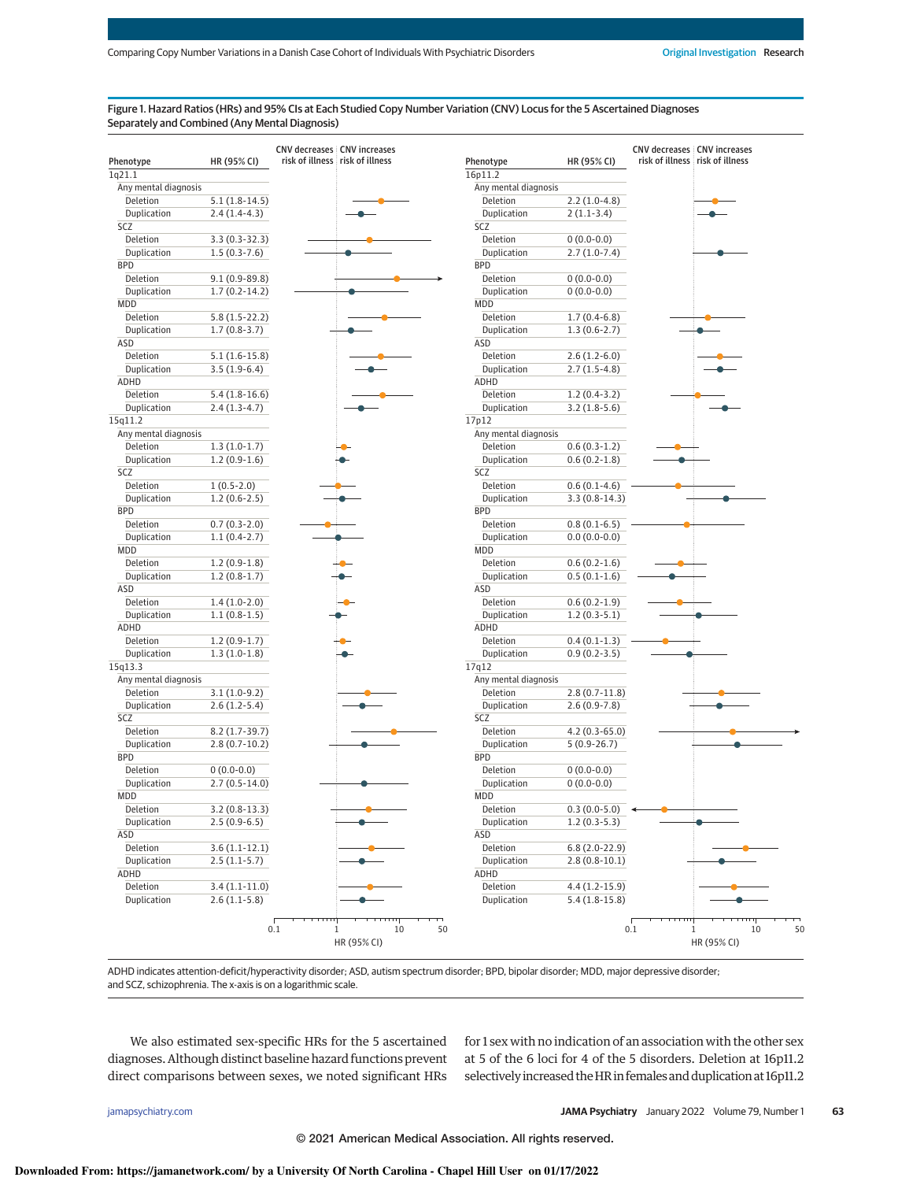## Figure 1. Hazard Ratios (HRs) and 95% CIs at Each Studied Copy Number Variation (CNV) Locus for the 5 Ascertained Diagnoses Separately and Combined (Any Mental Diagnosis)

| Phenotype            | HR (95% CI)       | risk of illness risk of illness | Phenotype            | HR (95% CI)     | <b>CNV decreases CNV increases</b><br>risk of illness risk of illness |
|----------------------|-------------------|---------------------------------|----------------------|-----------------|-----------------------------------------------------------------------|
| 1q21.1               |                   |                                 | 16p11.2              |                 |                                                                       |
| Any mental diagnosis |                   |                                 | Any mental diagnosis |                 |                                                                       |
| Deletion             | $5.1(1.8-14.5)$   |                                 | Deletion             | $2.2(1.0-4.8)$  |                                                                       |
| Duplication          | $2.4(1.4-4.3)$    |                                 | Duplication          | $2(1.1-3.4)$    |                                                                       |
| SCZ                  |                   |                                 | SCZ                  |                 |                                                                       |
| Deletion             | $3.3(0.3-32.3)$   |                                 | Deletion             | $0(0.0-0.0)$    |                                                                       |
| Duplication          | $1.5(0.3-7.6)$    |                                 | Duplication          | $2.7(1.0-7.4)$  |                                                                       |
| <b>BPD</b>           |                   |                                 | <b>BPD</b>           |                 |                                                                       |
| Deletion             | $9.1(0.9 - 89.8)$ |                                 | Deletion             | $0(0.0-0.0)$    |                                                                       |
| Duplication          | $1.7(0.2-14.2)$   |                                 | Duplication          | $0(0.0-0.0)$    |                                                                       |
| MDD                  |                   |                                 | <b>MDD</b>           |                 |                                                                       |
| Deletion             | $5.8(1.5-22.2)$   |                                 | Deletion             | $1.7(0.4-6.8)$  |                                                                       |
| Duplication          | $1.7(0.8-3.7)$    |                                 | Duplication          | $1.3(0.6-2.7)$  |                                                                       |
| ASD                  |                   |                                 | ASD                  |                 |                                                                       |
| Deletion             | $5.1(1.6-15.8)$   |                                 | Deletion             | $2.6(1.2-6.0)$  |                                                                       |
| Duplication          | $3.5(1.9-6.4)$    |                                 | Duplication          | $2.7(1.5-4.8)$  |                                                                       |
| ADHD                 |                   |                                 | ADHD                 |                 |                                                                       |
| Deletion             | $5.4(1.8-16.6)$   |                                 | Deletion             | $1.2(0.4-3.2)$  |                                                                       |
| Duplication          | $2.4(1.3-4.7)$    |                                 | Duplication          | $3.2(1.8-5.6)$  |                                                                       |
| 15q11.2              |                   |                                 | 17p12                |                 |                                                                       |
| Any mental diagnosis |                   |                                 | Any mental diagnosis |                 |                                                                       |
| Deletion             | $1.3(1.0-1.7)$    |                                 | Deletion             | $0.6(0.3-1.2)$  |                                                                       |
| Duplication          | $1.2(0.9-1.6)$    |                                 | Duplication          | $0.6(0.2-1.8)$  |                                                                       |
| SCZ                  |                   |                                 | SCZ                  |                 |                                                                       |
| Deletion             | $1(0.5-2.0)$      |                                 | Deletion             | $0.6(0.1-4.6)$  |                                                                       |
| Duplication          | $1.2(0.6-2.5)$    |                                 | Duplication          | $3.3(0.8-14.3)$ |                                                                       |
| <b>BPD</b>           |                   |                                 | <b>BPD</b>           |                 |                                                                       |
| Deletion             | $0.7(0.3-2.0)$    |                                 | Deletion             | $0.8(0.1-6.5)$  |                                                                       |
| Duplication          | $1.1(0.4-2.7)$    |                                 | Duplication          | $0.0(0.0-0.0)$  |                                                                       |
| MDD                  |                   |                                 | <b>MDD</b>           |                 |                                                                       |
| Deletion             | $1.2(0.9-1.8)$    |                                 | Deletion             | $0.6(0.2-1.6)$  |                                                                       |
| Duplication          | $1.2(0.8-1.7)$    |                                 | Duplication          | $0.5(0.1-1.6)$  |                                                                       |
| ASD                  |                   |                                 | ASD                  |                 |                                                                       |
| Deletion             | $1.4(1.0-2.0)$    |                                 | Deletion             | $0.6(0.2-1.9)$  |                                                                       |
| Duplication          | $1.1(0.8-1.5)$    |                                 | Duplication          | $1.2(0.3-5.1)$  |                                                                       |
| ADHD                 |                   |                                 | ADHD                 |                 |                                                                       |
| Deletion             | $1.2(0.9-1.7)$    |                                 | Deletion             | $0.4(0.1-1.3)$  |                                                                       |
| Duplication          | $1.3(1.0-1.8)$    |                                 | Duplication          | $0.9(0.2-3.5)$  |                                                                       |
| 15q13.3              |                   |                                 | 17q12                |                 |                                                                       |
| Any mental diagnosis |                   |                                 | Any mental diagnosis |                 |                                                                       |
| Deletion             | $3.1(1.0-9.2)$    |                                 | Deletion             | $2.8(0.7-11.8)$ |                                                                       |
| Duplication          | $2.6(1.2-5.4)$    |                                 | Duplication          | $2.6(0.9-7.8)$  |                                                                       |
| SCZ                  |                   |                                 | SCZ                  |                 |                                                                       |
| Deletion             | $8.2(1.7-39.7)$   |                                 | Deletion             | $4.2(0.3-65.0)$ |                                                                       |
| Duplication          | $2.8(0.7-10.2)$   |                                 | Duplication          | $5(0.9-26.7)$   |                                                                       |
| <b>BPD</b>           |                   |                                 | <b>BPD</b>           |                 |                                                                       |
| Deletion             | $0(0.0-0.0)$      |                                 | Deletion             | $0(0.0-0.0)$    |                                                                       |
| Duplication          | $2.7(0.5-14.0)$   |                                 | Duplication          | $0(0.0-0.0)$    |                                                                       |
| MDD                  |                   |                                 | <b>MDD</b>           |                 |                                                                       |
| Deletion             | $3.2(0.8-13.3)$   |                                 | Deletion             | $0.3(0.0-5.0)$  |                                                                       |
| Duplication          | $2.5(0.9-6.5)$    |                                 | Duplication          | $1.2(0.3-5.3)$  |                                                                       |
| ASD                  |                   |                                 | ASD                  |                 |                                                                       |
| Deletion             | $3.6(1.1-12.1)$   |                                 | Deletion             | $6.8(2.0-22.9)$ |                                                                       |
| Duplication          | $2.5(1.1-5.7)$    |                                 | Duplication          | $2.8(0.8-10.1)$ |                                                                       |
| ADHD                 |                   |                                 | ADHD                 |                 |                                                                       |
| Deletion             | $3.4(1.1-11.0)$   |                                 | Deletion             | $4.4(1.2-15.9)$ |                                                                       |
| Duplication          | $2.6(1.1-5.8)$    |                                 | Duplication          | $5.4(1.8-15.8)$ |                                                                       |
|                      |                   |                                 |                      |                 |                                                                       |

ADHD indicates attention-deficit/hyperactivity disorder; ASD, autism spectrum disorder; BPD, bipolar disorder; MDD, major depressive disorder; and SCZ, schizophrenia. The x-axis is on a logarithmic scale.

We also estimated sex-specific HRs for the 5 ascertained diagnoses. Although distinct baseline hazard functions prevent direct comparisons between sexes, we noted significant HRs

for 1 sex with no indication of an association with the other sex at 5 of the 6 loci for 4 of the 5 disorders. Deletion at 16p11.2 selectively increased the HR in females and duplication at 16p11.2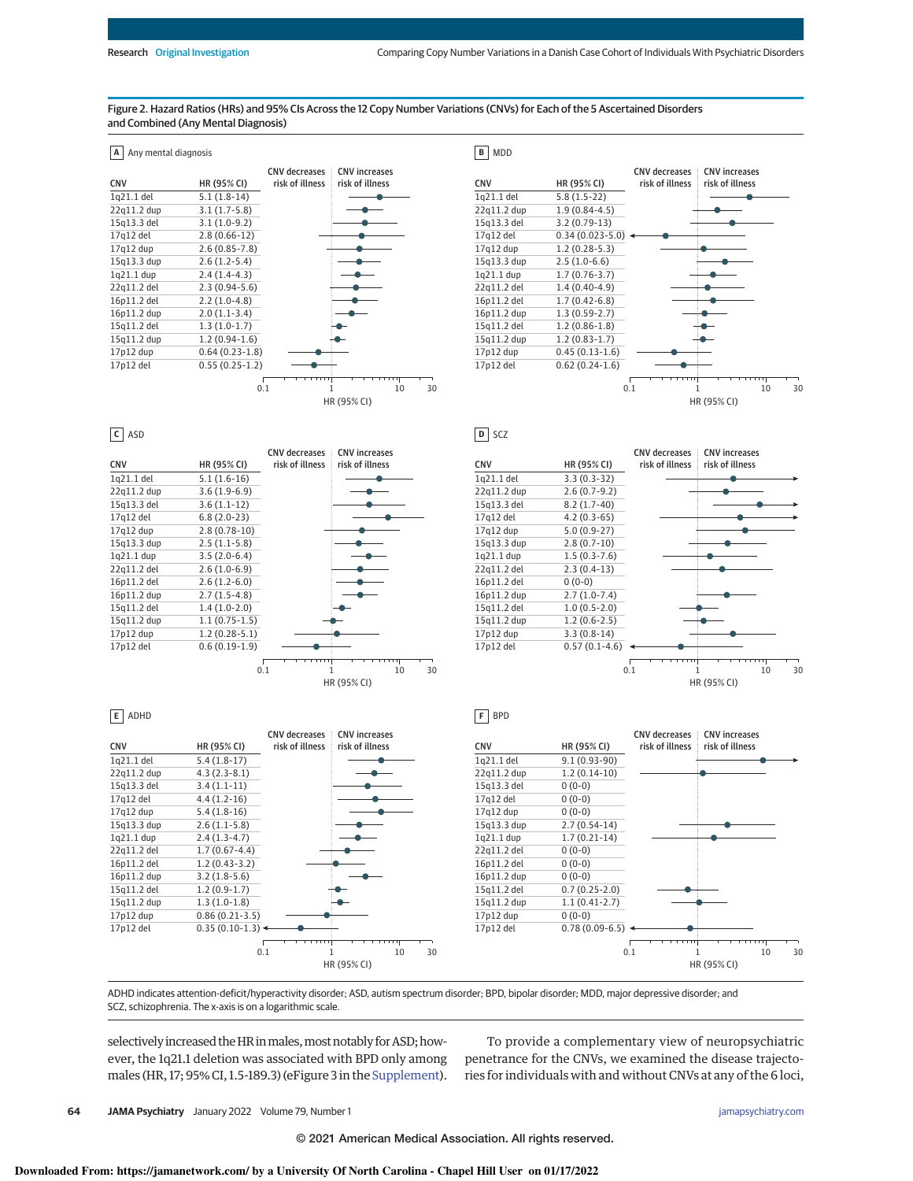### Figure 2. Hazard Ratios (HRs) and 95% CIs Across the 12 Copy Number Variations (CNVs) for Each of the 5 Ascertained Disorders and Combined (Any Mental Diagnosis)









**D** SCZ

**F** BPD



**E** ADHD

|             |                   | <b>CNV</b> decreases | <b>CNV</b> increases |                                                       |
|-------------|-------------------|----------------------|----------------------|-------------------------------------------------------|
| <b>CNV</b>  | HR (95% CI)       | risk of illness      | risk of illness      | CI                                                    |
| 1q21.1 del  | $5.4(1.8-17)$     |                      |                      | $\overline{1}$                                        |
| 22q11.2 dup | $4.3(2.3-8.1)$    |                      |                      | $\overline{c}$                                        |
| 15q13.3 del | $3.4(1.1-11)$     |                      |                      | 1!                                                    |
| 17q12 del   | $4.4(1.2-16)$     |                      |                      | $\overline{1}$                                        |
| 17q12 dup   | $5.4(1.8-16)$     |                      |                      | 1                                                     |
| 15q13.3 dup | $2.6(1.1-5.8)$    |                      |                      | 1!                                                    |
| 1q21.1 dup  | $2.4(1.3-4.7)$    |                      |                      | 1 <sub>0</sub>                                        |
| 22q11.2 del | $1.7(0.67 - 4.4)$ |                      |                      | $\overline{2}$                                        |
| 16p11.2 del | $1.2(0.43-3.2)$   |                      |                      | $\overline{16}$                                       |
| 16p11.2 dup | $3.2(1.8-5.6)$    |                      |                      | 1(                                                    |
| 15q11.2 del | $1.2(0.9-1.7)$    |                      |                      |                                                       |
| 15q11.2 dup | $1.3(1.0-1.8)$    |                      |                      | $\begin{array}{c}\n15 \\ 15 \\ 17 \\ 17\n\end{array}$ |
| 17p12 dup   | $0.86(0.21-3.5)$  |                      |                      |                                                       |
| 17p12 del   | $0.35(0.10-1.3)$  |                      |                      |                                                       |
|             |                   | 0.1                  | 30<br>10             |                                                       |
|             |                   |                      | HR (95% CI)          |                                                       |

|             |                  | <b>CNV</b> decreases | <b>CNV</b> increases |    |    |
|-------------|------------------|----------------------|----------------------|----|----|
| <b>CNV</b>  | HR (95% CI)      | risk of illness      | risk of illness      |    |    |
| 1q21.1 del  | $9.1(0.93-90)$   |                      |                      |    |    |
| 22q11.2 dup | $1.2(0.14-10)$   |                      |                      |    |    |
| 15q13.3 del | $0(0-0)$         |                      |                      |    |    |
| 17q12 del   | $0(0-0)$         |                      |                      |    |    |
| 17q12 dup   | $0(0-0)$         |                      |                      |    |    |
| 15q13.3 dup | $2.7(0.54-14)$   |                      |                      |    |    |
| 1q21.1 dup  | $1.7(0.21-14)$   |                      |                      |    |    |
| 22q11.2 del | $0(0-0)$         |                      |                      |    |    |
| 16p11.2 del | $0(0-0)$         |                      |                      |    |    |
| 16p11.2 dup | $0(0-0)$         |                      |                      |    |    |
| 15q11.2 del | $0.7(0.25-2.0)$  |                      |                      |    |    |
| 15q11.2 dup | $1.1(0.41-2.7)$  |                      |                      |    |    |
| 17p12 dup   | $0(0-0)$         |                      |                      |    |    |
| 17p12 del   | $0.78(0.09-6.5)$ |                      |                      |    |    |
|             |                  |                      |                      |    |    |
|             |                  | 0.1                  |                      | 10 | 30 |
|             |                  |                      | HR (95% CI)          |    |    |

ADHD indicates attention-deficit/hyperactivity disorder; ASD, autism spectrum disorder; BPD, bipolar disorder; MDD, major depressive disorder; and SCZ, schizophrenia. The x-axis is on a logarithmic scale.

selectively increased the HR in males, most notably for ASD; however, the 1q21.1 deletion was associated with BPD only among males (HR, 17; 95% CI, 1.5-189.3) (eFigure 3 in the Supplement).

To provide a complementary view of neuropsychiatric penetrance for the CNVs, we examined the disease trajectories for individuals with and without CNVs at any of the 6 loci,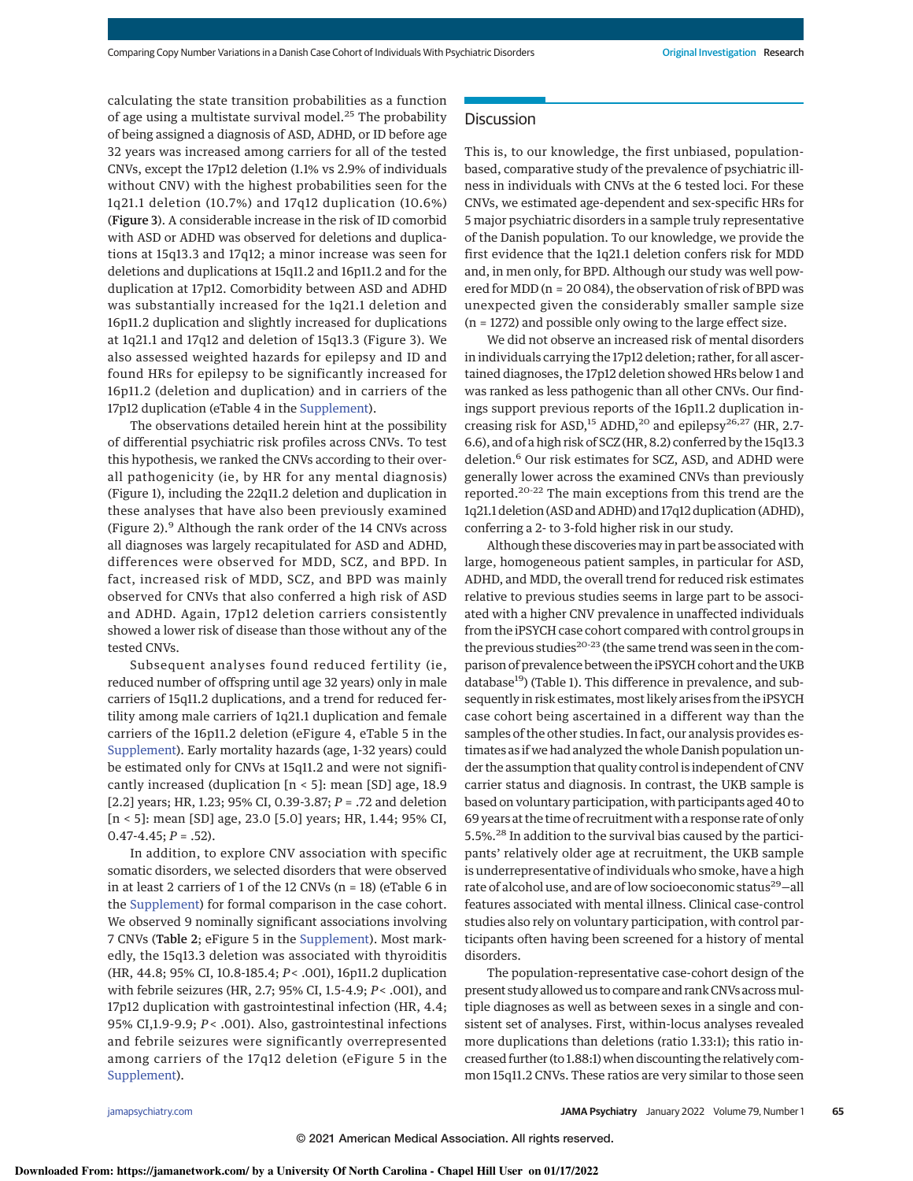calculating the state transition probabilities as a function of age using a multistate survival model.<sup>25</sup> The probability of being assigned a diagnosis of ASD, ADHD, or ID before age 32 years was increased among carriers for all of the tested CNVs, except the 17p12 deletion (1.1% vs 2.9% of individuals without CNV) with the highest probabilities seen for the 1q21.1 deletion (10.7%) and 17q12 duplication (10.6%) (Figure 3). A considerable increase in the risk of ID comorbid with ASD or ADHD was observed for deletions and duplications at 15q13.3 and 17q12; a minor increase was seen for deletions and duplications at 15q11.2 and 16p11.2 and for the duplication at 17p12. Comorbidity between ASD and ADHD was substantially increased for the 1q21.1 deletion and 16p11.2 duplication and slightly increased for duplications at 1q21.1 and 17q12 and deletion of 15q13.3 (Figure 3). We also assessed weighted hazards for epilepsy and ID and found HRs for epilepsy to be significantly increased for 16p11.2 (deletion and duplication) and in carriers of the 17p12 duplication (eTable 4 in the Supplement).

The observations detailed herein hint at the possibility of differential psychiatric risk profiles across CNVs. To test this hypothesis, we ranked the CNVs according to their overall pathogenicity (ie, by HR for any mental diagnosis) (Figure 1), including the 22q11.2 deletion and duplication in these analyses that have also been previously examined (Figure 2).<sup>9</sup> Although the rank order of the 14 CNVs across all diagnoses was largely recapitulated for ASD and ADHD, differences were observed for MDD, SCZ, and BPD. In fact, increased risk of MDD, SCZ, and BPD was mainly observed for CNVs that also conferred a high risk of ASD and ADHD. Again, 17p12 deletion carriers consistently showed a lower risk of disease than those without any of the tested CNVs.

Subsequent analyses found reduced fertility (ie, reduced number of offspring until age 32 years) only in male carriers of 15q11.2 duplications, and a trend for reduced fertility among male carriers of 1q21.1 duplication and female carriers of the 16p11.2 deletion (eFigure 4, eTable 5 in the Supplement). Early mortality hazards (age, 1-32 years) could be estimated only for CNVs at 15q11.2 and were not significantly increased (duplication [n < 5]: mean [SD] age, 18.9 [2.2] years; HR, 1.23; 95% CI, 0.39-3.87;  $P = .72$  and deletion [n < 5]: mean [SD] age, 23.0 [5.0] years; HR, 1.44; 95% CI,  $0.47 - 4.45; P = .52$ ).

In addition, to explore CNV association with specific somatic disorders, we selected disorders that were observed in at least 2 carriers of 1 of the 12 CNVs (n = 18) (eTable 6 in the Supplement) for formal comparison in the case cohort. We observed 9 nominally significant associations involving 7 CNVs (Table 2; eFigure 5 in the Supplement). Most markedly, the 15q13.3 deletion was associated with thyroiditis (HR, 44.8; 95% CI, 10.8-185.4; P< .001), 16p11.2 duplication with febrile seizures (HR, 2.7; 95% CI, 1.5-4.9; P< .001), and 17p12 duplication with gastrointestinal infection (HR, 4.4; 95% CI,1.9-9.9; P< .001). Also, gastrointestinal infections and febrile seizures were significantly overrepresented among carriers of the 17q12 deletion (eFigure 5 in the Supplement).

# **Discussion**

This is, to our knowledge, the first unbiased, populationbased, comparative study of the prevalence of psychiatric illness in individuals with CNVs at the 6 tested loci. For these CNVs, we estimated age-dependent and sex-specific HRs for 5 major psychiatric disorders in a sample truly representative of the Danish population. To our knowledge, we provide the first evidence that the 1q21.1 deletion confers risk for MDD and, in men only, for BPD. Although our study was well powered for MDD (n = 20 084), the observation of risk of BPD was unexpected given the considerably smaller sample size (n = 1272) and possible only owing to the large effect size.

We did not observe an increased risk of mental disorders in individuals carrying the 17p12 deletion; rather, for all ascertained diagnoses, the 17p12 deletion showed HRs below 1 and was ranked as less pathogenic than all other CNVs. Our findings support previous reports of the 16p11.2 duplication increasing risk for ASD,<sup>15</sup> ADHD,<sup>20</sup> and epilepsy<sup>26,27</sup> (HR, 2.7-6.6), and of a high risk of SCZ (HR, 8.2) conferred by the 15q13.3 deletion.<sup>6</sup> Our risk estimates for SCZ, ASD, and ADHD were generally lower across the examined CNVs than previously reported.20-22 The main exceptions from this trend are the 1q21.1 deletion (ASD and ADHD) and 17q12 duplication (ADHD), conferring a 2- to 3-fold higher risk in our study.

Although these discoveries may in part be associated with large, homogeneous patient samples, in particular for ASD, ADHD, and MDD, the overall trend for reduced risk estimates relative to previous studies seems in large part to be associated with a higher CNV prevalence in unaffected individuals from the iPSYCH case cohort compared with control groups in the previous studies $^{20-23}$  (the same trend was seen in the comparison of prevalence between the iPSYCH cohort and the UKB database<sup>19</sup>) (Table 1). This difference in prevalence, and subsequently in risk estimates, most likely arises from the iPSYCH case cohort being ascertained in a different way than the samples of the other studies. In fact, our analysis provides estimates as if we had analyzed the whole Danish population under the assumption that quality control is independent of CNV carrier status and diagnosis. In contrast, the UKB sample is based on voluntary participation, with participants aged 40 to 69 years at the time of recruitment with a response rate of only 5.5%.<sup>28</sup> In addition to the survival bias caused by the participants' relatively older age at recruitment, the UKB sample is underrepresentative of individuals who smoke, have a high rate of alcohol use, and are of low socioeconomic status<sup>29</sup>-all features associated with mental illness. Clinical case-control studies also rely on voluntary participation, with control participants often having been screened for a history of mental disorders.

The population-representative case-cohort design of the present study allowed us to compare and rank CNVs acrossmultiple diagnoses as well as between sexes in a single and consistent set of analyses. First, within-locus analyses revealed more duplications than deletions (ratio 1.33:1); this ratio increased further (to 1.88:1) when discounting the relatively common 15q11.2 CNVs. These ratios are very similar to those seen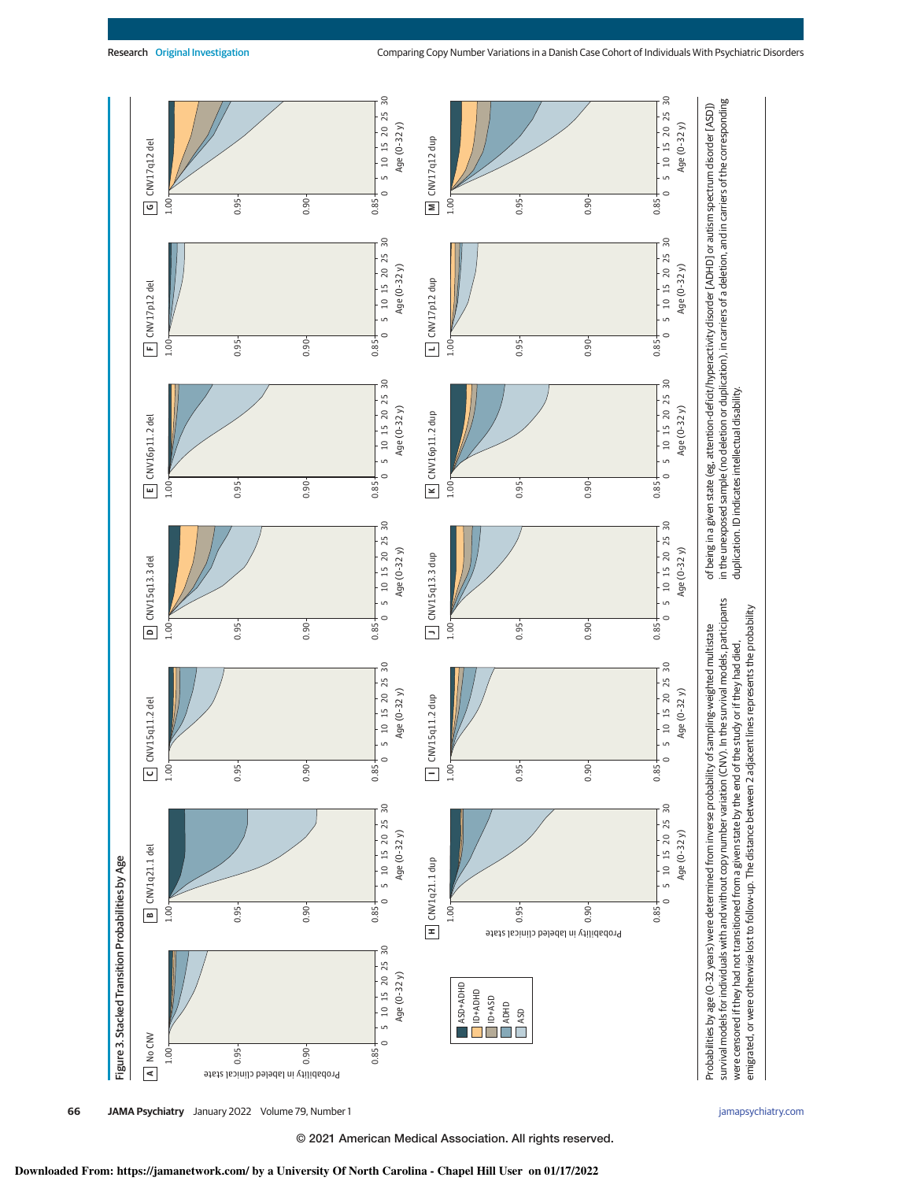

emigrated, or were otherwise lost to follow-up. The distance between 2 adjacent lines represents the probability

emigrated, or were otherwise lost to follow-up. The distance between 2 adjacent lines represents the probability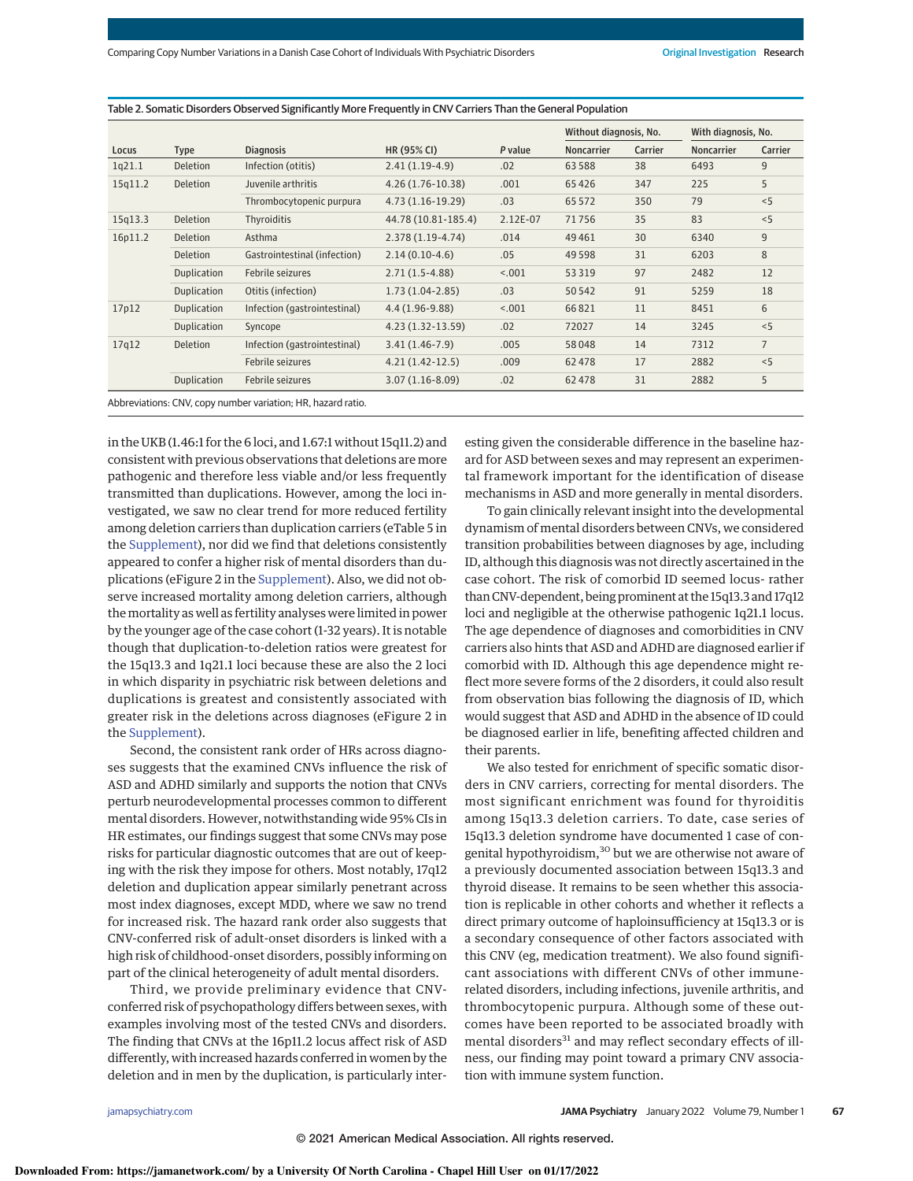Table 2. Somatic Disorders Observed Significantly More Frequently in CNV Carriers Than the General Population

|                                                              |                    |                              |                     |          | Without diagnosis, No. |         | With diagnosis, No. |                |
|--------------------------------------------------------------|--------------------|------------------------------|---------------------|----------|------------------------|---------|---------------------|----------------|
| Locus                                                        | <b>Type</b>        | <b>Diagnosis</b>             | HR (95% CI)         | P value  | <b>Noncarrier</b>      | Carrier | <b>Noncarrier</b>   | Carrier        |
| 1q21.1                                                       | Deletion           | Infection (otitis)           | $2.41(1.19-4.9)$    | .02      | 63588                  | 38      | 6493                | 9              |
| 15q11.2                                                      | Deletion           | Juvenile arthritis           | 4.26 (1.76-10.38)   | .001     | 65426                  | 347     | 225                 | 5              |
|                                                              |                    | Thrombocytopenic purpura     | 4.73 (1.16-19.29)   | .03      | 65 5 72                | 350     | 79                  | < 5            |
| 15q13.3                                                      | <b>Deletion</b>    | Thyroiditis                  | 44.78 (10.81-185.4) | 2.12E-07 | 71756                  | 35      | 83                  | < 5            |
| 16p11.2                                                      | Deletion           | Asthma                       | $2.378(1.19-4.74)$  | .014     | 49461                  | 30      | 6340                | 9              |
|                                                              | <b>Deletion</b>    | Gastrointestinal (infection) | $2.14(0.10-4.6)$    | .05      | 49 5 98                | 31      | 6203                | 8              |
|                                                              | <b>Duplication</b> | Febrile seizures             | $2.71(1.5-4.88)$    | < .001   | 53319                  | 97      | 2482                | 12             |
|                                                              | <b>Duplication</b> | Otitis (infection)           | $1.73(1.04-2.85)$   | .03      | 50542                  | 91      | 5259                | 18             |
| 17p12                                                        | <b>Duplication</b> | Infection (gastrointestinal) | $4.4(1.96-9.88)$    | < .001   | 66821                  | 11      | 8451                | 6              |
|                                                              | <b>Duplication</b> | Syncope                      | $4.23(1.32-13.59)$  | .02      | 72027                  | 14      | 3245                | < 5            |
| 17q12                                                        | <b>Deletion</b>    | Infection (gastrointestinal) | $3.41(1.46-7.9)$    | .005     | 58048                  | 14      | 7312                | $\overline{7}$ |
|                                                              |                    | Febrile seizures             | $4.21(1.42-12.5)$   | .009     | 62478                  | 17      | 2882                | < 5            |
|                                                              | <b>Duplication</b> | Febrile seizures             | $3.07(1.16-8.09)$   | .02      | 62478                  | 31      | 2882                | 5              |
| Abbreviations: CNV, copy number variation; HR, hazard ratio. |                    |                              |                     |          |                        |         |                     |                |

in the UKB (1.46:1 for the 6 loci, and 1.67:1 without 15q11.2) and consistent with previous observations that deletions are more pathogenic and therefore less viable and/or less frequently transmitted than duplications. However, among the loci investigated, we saw no clear trend for more reduced fertility among deletion carriers than duplication carriers (eTable 5 in the Supplement), nor did we find that deletions consistently appeared to confer a higher risk of mental disorders than duplications (eFigure 2 in the Supplement). Also, we did not observe increased mortality among deletion carriers, although the mortality as well as fertility analyses were limited in power by the younger age of the case cohort (1-32 years). It is notable though that duplication-to-deletion ratios were greatest for the 15q13.3 and 1q21.1 loci because these are also the 2 loci in which disparity in psychiatric risk between deletions and duplications is greatest and consistently associated with greater risk in the deletions across diagnoses (eFigure 2 in the Supplement).

Second, the consistent rank order of HRs across diagnoses suggests that the examined CNVs influence the risk of ASD and ADHD similarly and supports the notion that CNVs perturb neurodevelopmental processes common to different mental disorders. However, notwithstanding wide 95% CIs in HR estimates, our findings suggest that some CNVs may pose risks for particular diagnostic outcomes that are out of keeping with the risk they impose for others. Most notably, 17q12 deletion and duplication appear similarly penetrant across most index diagnoses, except MDD, where we saw no trend for increased risk. The hazard rank order also suggests that CNV-conferred risk of adult-onset disorders is linked with a high risk of childhood-onset disorders, possibly informing on part of the clinical heterogeneity of adult mental disorders.

Third, we provide preliminary evidence that CNVconferred risk of psychopathology differs between sexes, with examples involving most of the tested CNVs and disorders. The finding that CNVs at the 16p11.2 locus affect risk of ASD differently, with increased hazards conferred in women by the deletion and in men by the duplication, is particularly interesting given the considerable difference in the baseline hazard for ASD between sexes and may represent an experimental framework important for the identification of disease mechanisms in ASD and more generally in mental disorders.

To gain clinically relevant insight into the developmental dynamism of mental disorders between CNVs, we considered transition probabilities between diagnoses by age, including ID, although this diagnosis was not directly ascertained in the case cohort. The risk of comorbid ID seemed locus- rather than CNV-dependent, being prominent at the 15q13.3 and 17q12 loci and negligible at the otherwise pathogenic 1q21.1 locus. The age dependence of diagnoses and comorbidities in CNV carriers also hints that ASD and ADHD are diagnosed earlier if comorbid with ID. Although this age dependence might reflect more severe forms of the 2 disorders, it could also result from observation bias following the diagnosis of ID, which would suggest that ASD and ADHD in the absence of ID could be diagnosed earlier in life, benefiting affected children and their parents.

We also tested for enrichment of specific somatic disorders in CNV carriers, correcting for mental disorders. The most significant enrichment was found for thyroiditis among 15q13.3 deletion carriers. To date, case series of 15q13.3 deletion syndrome have documented 1 case of congenital hypothyroidism,<sup>30</sup> but we are otherwise not aware of a previously documented association between 15q13.3 and thyroid disease. It remains to be seen whether this association is replicable in other cohorts and whether it reflects a direct primary outcome of haploinsufficiency at 15q13.3 or is a secondary consequence of other factors associated with this CNV (eg, medication treatment). We also found significant associations with different CNVs of other immunerelated disorders, including infections, juvenile arthritis, and thrombocytopenic purpura. Although some of these outcomes have been reported to be associated broadly with mental disorders<sup>31</sup> and may reflect secondary effects of illness, our finding may point toward a primary CNV association with immune system function.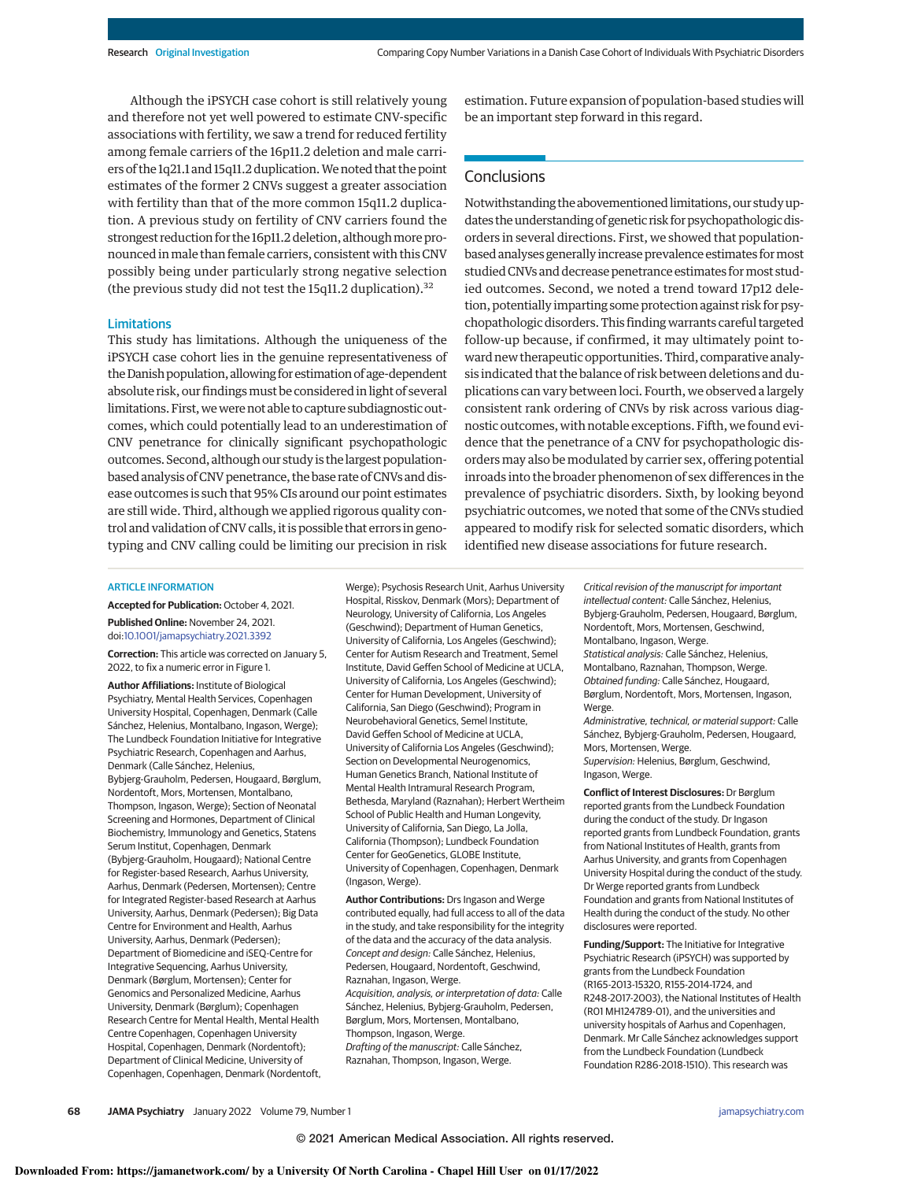Although the iPSYCH case cohort is still relatively young and therefore not yet well powered to estimate CNV-specific associations with fertility, we saw a trend for reduced fertility among female carriers of the 16p11.2 deletion and male carriers of the 1q21.1 and 15q11.2 duplication.We noted that the point estimates of the former 2 CNVs suggest a greater association with fertility than that of the more common 15q11.2 duplication. A previous study on fertility of CNV carriers found the strongest reduction for the 16p11.2 deletion, although more pronounced inmale than female carriers, consistent with this CNV possibly being under particularly strong negative selection (the previous study did not test the 15q11.2 duplication). $32$ 

### Limitations

This study has limitations. Although the uniqueness of the iPSYCH case cohort lies in the genuine representativeness of the Danish population, allowing for estimation of age-dependent absolute risk, our findings must be considered in light of several limitations. First, we were not able to capture subdiagnostic outcomes, which could potentially lead to an underestimation of CNV penetrance for clinically significant psychopathologic outcomes. Second, although our study is the largest populationbased analysis of CNV penetrance, the base rate of CNVs and disease outcomes is such that 95% CIs around our point estimates are still wide. Third, although we applied rigorous quality control and validation of CNV calls, it is possible that errors in genotyping and CNV calling could be limiting our precision in risk

estimation. Future expansion of population-based studies will be an important step forward in this regard.

# **Conclusions**

Notwithstanding the abovementioned limitations, our studyupdates the understanding of genetic risk for psychopathologic disorders in several directions. First, we showed that populationbased analyses generally increase prevalence estimates formost studied CNVs and decrease penetrance estimates formost studied outcomes. Second, we noted a trend toward 17p12 deletion, potentially imparting some protection against risk for psychopathologic disorders. This finding warrants careful targeted follow-up because, if confirmed, it may ultimately point toward new therapeutic opportunities. Third, comparative analysis indicated that the balance of risk between deletions and duplications can vary between loci. Fourth, we observed a largely consistent rank ordering of CNVs by risk across various diagnostic outcomes, with notable exceptions. Fifth, we found evidence that the penetrance of a CNV for psychopathologic disorders may also be modulated by carrier sex, offering potential inroads into the broader phenomenon of sex differences in the prevalence of psychiatric disorders. Sixth, by looking beyond psychiatric outcomes, we noted that some of the CNVs studied appeared to modify risk for selected somatic disorders, which identified new disease associations for future research.

### ARTICLE INFORMATION

**Accepted for Publication:** October 4, 2021. **Published Online:** November 24, 2021. doi:10.1001/jamapsychiatry.2021.3392

**Correction:** This article was corrected on January 5, 2022, to fix a numeric error in Figure 1.

**Author Affiliations:** Institute of Biological Psychiatry, Mental Health Services, Copenhagen University Hospital, Copenhagen, Denmark (Calle Sánchez, Helenius, Montalbano, Ingason, Werge); The Lundbeck Foundation Initiative for Integrative Psychiatric Research, Copenhagen and Aarhus, Denmark (Calle Sánchez, Helenius, Bybjerg-Grauholm, Pedersen, Hougaard, Børglum, Nordentoft, Mors, Mortensen, Montalbano, Thompson, Ingason, Werge); Section of Neonatal Screening and Hormones, Department of Clinical Biochemistry, Immunology and Genetics, Statens Serum Institut, Copenhagen, Denmark (Bybjerg-Grauholm, Hougaard); National Centre for Register-based Research, Aarhus University, Aarhus, Denmark (Pedersen, Mortensen); Centre for Integrated Register-based Research at Aarhus University, Aarhus, Denmark (Pedersen); Big Data Centre for Environment and Health, Aarhus University, Aarhus, Denmark (Pedersen); Department of Biomedicine and iSEQ-Centre for Integrative Sequencing, Aarhus University, Denmark (Børglum, Mortensen); Center for Genomics and Personalized Medicine, Aarhus University, Denmark (Børglum); Copenhagen Research Centre for Mental Health, Mental Health Centre Copenhagen, Copenhagen University Hospital, Copenhagen, Denmark (Nordentoft); Department of Clinical Medicine, University of Copenhagen, Copenhagen, Denmark (Nordentoft, Werge); Psychosis Research Unit, Aarhus University Hospital, Risskov, Denmark (Mors); Department of Neurology, University of California, Los Angeles (Geschwind); Department of Human Genetics, University of California, Los Angeles (Geschwind); Center for Autism Research and Treatment, Semel Institute, David Geffen School of Medicine at UCLA, University of California, Los Angeles (Geschwind); Center for Human Development, University of California, San Diego (Geschwind); Program in Neurobehavioral Genetics, Semel Institute, David Geffen School of Medicine at UCLA, University of California Los Angeles (Geschwind); Section on Developmental Neurogenomics, Human Genetics Branch, National Institute of Mental Health Intramural Research Program, Bethesda, Maryland (Raznahan); Herbert Wertheim School of Public Health and Human Longevity, University of California, San Diego, La Jolla, California (Thompson); Lundbeck Foundation Center for GeoGenetics, GLOBE Institute, University of Copenhagen, Copenhagen, Denmark (Ingason, Werge).

**Author Contributions:** Drs Ingason and Werge contributed equally, had full access to all of the data in the study, and take responsibility for the integrity of the data and the accuracy of the data analysis. Concept and design: Calle Sánchez, Helenius, Pedersen, Hougaard, Nordentoft, Geschwind, Raznahan, Ingason, Werge. Acquisition, analysis, or interpretation of data: Calle Sánchez, Helenius, Bybjerg-Grauholm, Pedersen, Børglum, Mors, Mortensen, Montalbano, Thompson, Ingason, Werge. Drafting of the manuscript: Calle Sánchez, Raznahan, Thompson, Ingason, Werge.

Critical revision of the manuscript for important intellectual content: Calle Sánchez, Helenius, Bybjerg-Grauholm, Pedersen, Hougaard, Børglum, Nordentoft, Mors, Mortensen, Geschwind, Montalbano, Ingason, Werge.

Statistical analysis: Calle Sánchez, Helenius, Montalbano, Raznahan, Thompson, Werge. Obtained funding: Calle Sánchez, Hougaard, Børglum, Nordentoft, Mors, Mortensen, Ingason, Werge.

Administrative, technical, or material support: Calle Sánchez, Bybjerg-Grauholm, Pedersen, Hougaard, Mors, Mortensen, Werge. Supervision: Helenius, Børglum, Geschwind, Ingason, Werge.

**Conflict of Interest Disclosures:** Dr Børglum reported grants from the Lundbeck Foundation during the conduct of the study. Dr Ingason reported grants from Lundbeck Foundation, grants from National Institutes of Health, grants from Aarhus University, and grants from Copenhagen University Hospital during the conduct of the study. Dr Werge reported grants from Lundbeck Foundation and grants from National Institutes of Health during the conduct of the study. No other disclosures were reported.

**Funding/Support:** The Initiative for Integrative Psychiatric Research (iPSYCH) was supported by grants from the Lundbeck Foundation (R165-2013-15320, R155-2014-1724, and R248-2017-2003), the National Institutes of Health (R01 MH124789-01), and the universities and university hospitals of Aarhus and Copenhagen, Denmark. Mr Calle Sánchez acknowledges support from the Lundbeck Foundation (Lundbeck Foundation R286-2018-1510). This research was